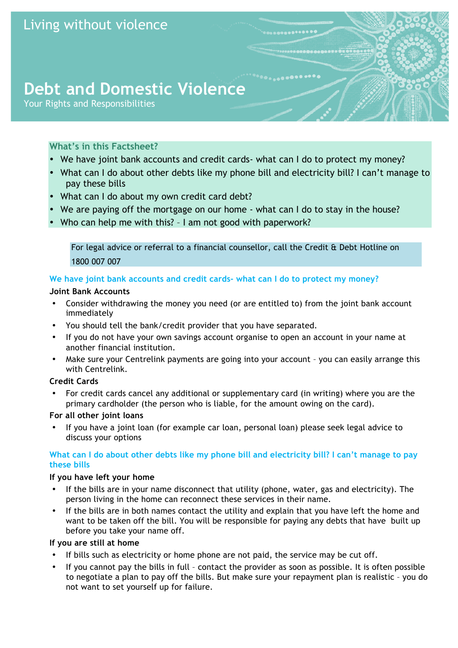# **Debt and Domestic Violence**

Your Rights and Responsibilities

# **What's in this Factsheet?**

- We have joint bank accounts and credit cards- what can I do to protect my money?
- What can I do about other debts like my phone bill and electricity bill? I can't manage to pay these bills
- What can I do about my own credit card debt?
- We are paying off the mortgage on our home what can I do to stay in the house?
- Who can help me with this? I am not good with paperwork?

For legal advice or referral to a financial counsellor, call the Credit & Debt Hotline on 1800 007 007

# **We have joint bank accounts and credit cards- what can I do to protect my money?**

## **Joint Bank Accounts**

- Consider withdrawing the money you need (or are entitled to) from the joint bank account immediately
- You should tell the bank/credit provider that you have separated.
- If you do not have your own savings account organise to open an account in your name at another financial institution.
- Make sure your Centrelink payments are going into your account you can easily arrange this with Centrelink.

# **Credit Cards**

• For credit cards cancel any additional or supplementary card (in writing) where you are the primary cardholder (the person who is liable, for the amount owing on the card).

### **For all other joint loans**

• If you have a joint loan (for example car loan, personal loan) please seek legal advice to discuss your options

## **What can I do about other debts like my phone bill and electricity bill? I can't manage to pay these bills**

### **If you have left your home**

- If the bills are in your name disconnect that utility (phone, water, gas and electricity). The person living in the home can reconnect these services in their name.
- If the bills are in both names contact the utility and explain that you have left the home and want to be taken off the bill. You will be responsible for paying any debts that have built up before you take your name off.

# **If you are still at home**

- If bills such as electricity or home phone are not paid, the service may be cut off.
- If you cannot pay the bills in full contact the provider as soon as possible. It is often possible to negotiate a plan to pay off the bills. But make sure your repayment plan is realistic – you do not want to set yourself up for failure.